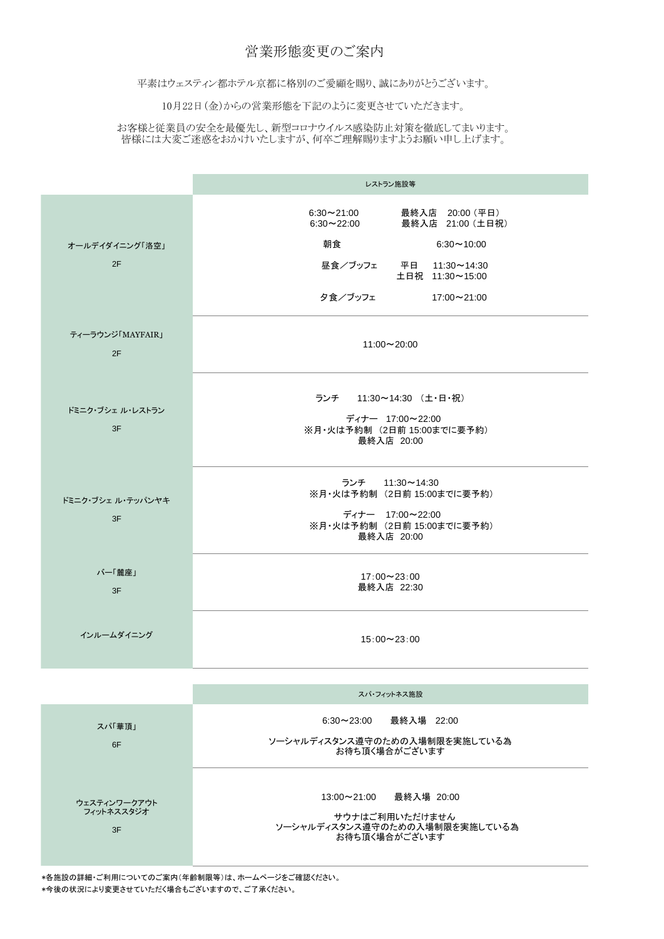|                         | レストラン施設等                                                                                                      |  |  |
|-------------------------|---------------------------------------------------------------------------------------------------------------|--|--|
|                         | 最終入店 20:00 (平日)<br>$6:30 \sim 21:00$<br>最終入店 21:00(土日祝)<br>$6:30 \sim 22:00$                                  |  |  |
| オールデイダイニング「洛空」          | 朝食<br>$6:30 \sim 10:00$                                                                                       |  |  |
| 2F                      | 昼食/ブッフェ 平日 11:30~14:30<br>土日祝 11:30~15:00                                                                     |  |  |
|                         | 夕食/ブッフェ<br>$17:00 \sim 21:00$                                                                                 |  |  |
| ティーラウンジ「MAYFAIR」<br>2F  | $11:00 \sim 20:00$                                                                                            |  |  |
| ドミニク・ブシェ ル・レストラン<br>3F  | ランチ 11:30~14:30 (土・日・祝)<br>ディナー 17:00~22:00<br>※月・火は予約制 (2日前 15:00までに要予約)<br>最終入店 20:00                       |  |  |
| ドミニク・ブシェ ル・テッパンヤキ<br>3F | ランチ 11:30~14:30<br>※月・火は予約制 (2日前 15:00までに要予約)<br>ディナー 17:00~22:00<br>※月・火は予約制 (2日前 15:00までに要予約)<br>最終入店 20:00 |  |  |
| バー「麓座」                  | $17:00 \sim 23:00$                                                                                            |  |  |

お客様と従業員の安全を最優先し、新型コロナウイルス感染防止対策を徹底してまいります。 - 自様には大変ご迷惑をおかけいたしますが、何卒ご理解賜りますようお願い申し上げます。

| 3F         | 最終入店 22:30         |
|------------|--------------------|
| インルームダイニング | $15:00 \sim 23:00$ |

|                                  | スパ・フィットネス施設                                                                                  |
|----------------------------------|----------------------------------------------------------------------------------------------|
| スパ華頂」<br>6F                      | 6:30~23:00   最終入場 22:00<br>ソーシャルディスタンス遵守のための入場制限を実施している為<br>お待ち頂く場合がございます                    |
| ウェスティンワークアウト<br>フィットネススタジオ<br>3F | 13:00~21:00   最終入場 20:00<br>サウナはご利用いただけません<br>ソーシャルディスタンス遵守のための入場制限を実施している為<br>お待ち頂く場合がございます |

## 営業形態変更のご案内

平素はウェスティン都ホテル京都に格別のご愛顧を賜り、誠にありがとうございます。

10月22日(金)からの営業形態を下記のように変更させていただきます。

\*各施設の詳細・ご利用についてのご案内(年齢制限等)は、ホームページをご確認ください。 \*今後の状況により変更させていただく場合もございますので、ご了承ください。